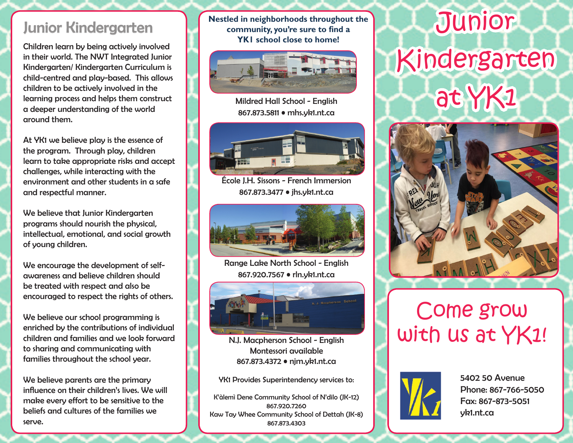Children learn by being actively involved in their world. The NWT Integrated Junior Kindergarten/ Kindergarten Curriculum is child-centred and play-based. This allows children to be actively involved in the learning process and helps them construct a deeper understanding of the world around them.

At YK1 we believe play is the essence of the program. Through play, children learn to take appropriate risks and accept challenges, while interacting with the environment and other students in a safe and respectful manner.

We believe that Junior Kindergarten programs should nourish the physical, intellectual, emotional, and social growth of young children.

We encourage the development of selfawareness and believe children should be treated with respect and also be encouraged to respect the rights of others.

We believe our school programming is enriched by the contributions of individual children and families and we look forward to sharing and communicating with families throughout the school year.

We believe parents are the primary influence on their children's lives. We will make every effort to be sensitive to the beliefs and cultures of the families we serve.

**Nestled in neighborhoods throughout the community, you're sure to find a YK1 school close to home!**



Mildred Hall School - English 867.873.5811 • mhs.yk1.nt.ca



École J.H. Sissons - French Immersion 867.873.3477 • jhs.yk1.nt.ca



Range Lake North School - English 867.920.7567 • rln.yk1.nt.ca



N.J. Macpherson School - English Montessori available 867.873.4372 • njm.yk1.nt.ca

YK1 Provides Superintendency services to:

K'àlemì Dene Community School of N'dilo (JK-12) 867.920.7260 Kaw Tay Whee Community School of Dettah (JK-8) 867.873.4303

## Junior Kindergarten **Junior School** Community, you're sure to find a Kindergarten at YK1



## Come grow with us at YK1!



5402 50 Avenue Phone: 867-766-5050 Fax: 867-873-5051 yk1.nt.ca